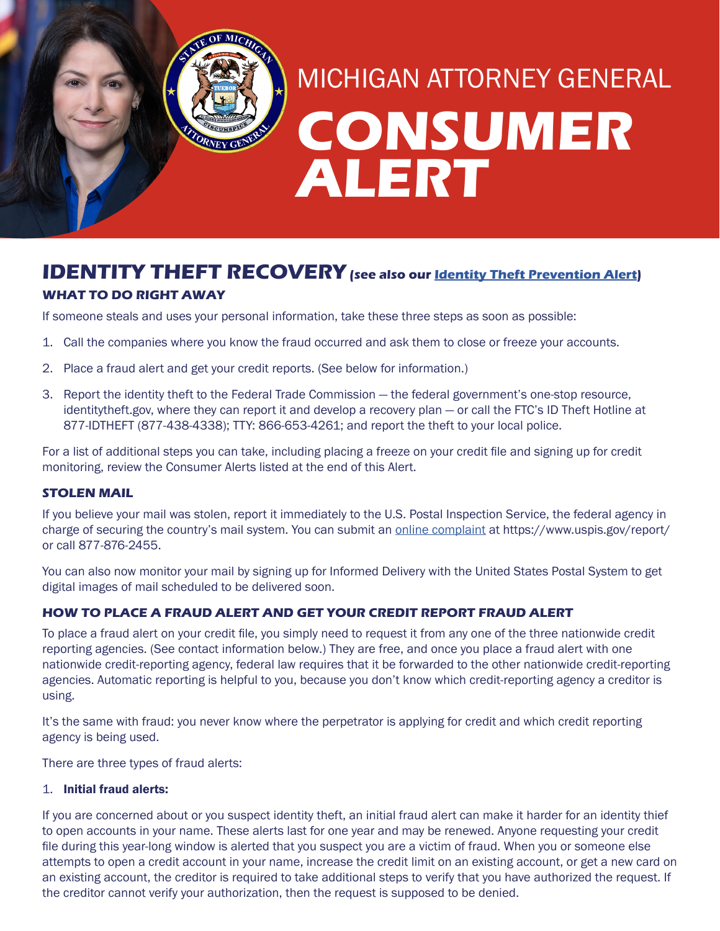# **CONSUMER ALERT** MICHIGAN ATTORNEY GENERAL

# **IDENTITY THEFT RECOVERY** (see also our **Identity Theft Prevention Alert**)

## **WHAT TO DO RIGHT AWAY**

If someone steals and uses your personal information, take these three steps as soon as possible:

- 1. Call the companies where you know the fraud occurred and ask them to close or freeze your accounts.
- 2. Place a fraud alert and get your credit reports. (See below for information.)

TORNEY GENT

3. Report the identity theft to the Federal Trade Commission — the federal government's one-stop resource, identitytheft.gov, where they can report it and develop a recovery plan — or call the FTC's ID Theft Hotline at 877-IDTHEFT (877-438-4338); TTY: 866-653-4261; and report the theft to your local police.

For a list of additional steps you can take, including placing a freeze on your credit file and signing up for credit monitoring, review the Consumer Alerts listed at the end of this Alert.

#### **STOLEN MAIL**

If you believe your mail was stolen, report it immediately to the U.S. Postal Inspection Service, the federal agency in charge of securing the country's mail system. You can submit an *online complaint* at https://www.uspis.gov/report/ or call 877-876-2455.

You can also now monitor your mail by signing up for Informed Delivery with the United States Postal System to get digital images of mail scheduled to be delivered soon.

### **HOW TO PLACE A FRAUD ALERT AND GET YOUR CREDIT REPORT FRAUD ALERT**

To place a fraud alert on your credit file, you simply need to request it from any one of the three nationwide credit reporting agencies. (See contact information below.) They are free, and once you place a fraud alert with one nationwide credit-reporting agency, federal law requires that it be forwarded to the other nationwide credit-reporting agencies. Automatic reporting is helpful to you, because you don't know which credit-reporting agency a creditor is using.

It's the same with fraud: you never know where the perpetrator is applying for credit and which credit reporting agency is being used.

There are three types of fraud alerts:

#### 1. Initial fraud alerts:

If you are concerned about or you suspect identity theft, an initial fraud alert can make it harder for an identity thief to open accounts in your name. These alerts last for one year and may be renewed. Anyone requesting your credit file during this year-long window is alerted that you suspect you are a victim of fraud. When you or someone else attempts to open a credit account in your name, increase the credit limit on an existing account, or get a new card on an existing account, the creditor is required to take additional steps to verify that you have authorized the request. If the creditor cannot verify your authorization, then the request is supposed to be denied.